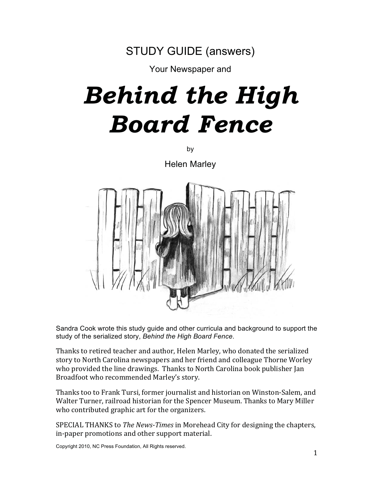

Your Newspaper and

# *Behind the High Board Fence*

by

Helen Marley



Sandra Cook wrote this study guide and other curricula and background to support the study of the serialized story, *Behind the High Board Fence*.

Thanks to retired teacher and author. Helen Marley, who donated the serialized story to North Carolina newspapers and her friend and colleague Thorne Worley who provided the line drawings. Thanks to North Carolina book publisher Jan Broadfoot who recommended Marley's story.

Thanks too to Frank Tursi, former journalist and historian on Winston-Salem, and Walter Turner, railroad historian for the Spencer Museum. Thanks to Mary Miller who contributed graphic art for the organizers.

SPECIAL THANKS to *The News-Times* in Morehead City for designing the chapters. in-paper promotions and other support material.

Copyright 2010, NC Press Foundation, All Rights reserved.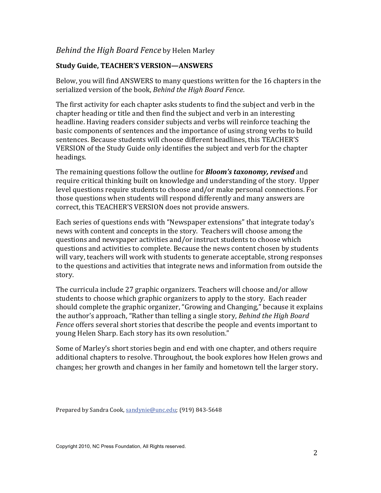# Behind the High Board Fence by Helen Marley

# **Study Guide, TEACHER'S VERSION-ANSWERS**

Below, you will find ANSWERS to many questions written for the 16 chapters in the serialized version of the book, Behind the High Board Fence.

The first activity for each chapter asks students to find the subject and verb in the chapter heading or title and then find the subject and verb in an interesting headline. Having readers consider subjects and verbs will reinforce teaching the basic components of sentences and the importance of using strong verbs to build sentences. Because students will choose different headlines, this TEACHER'S VERSION of the Study Guide only identifies the subject and verb for the chapter headings.

The remaining questions follow the outline for **Bloom's taxonomy, revised** and require critical thinking built on knowledge and understanding of the story. Upper level questions require students to choose and/or make personal connections. For those questions when students will respond differently and many answers are correct, this TEACHER'S VERSION does not provide answers.

Each series of questions ends with "Newspaper extensions" that integrate today's news with content and concepts in the story. Teachers will choose among the questions and newspaper activities and/or instruct students to choose which questions and activities to complete. Because the news content chosen by students will vary, teachers will work with students to generate acceptable, strong responses to the questions and activities that integrate news and information from outside the story.

The curricula include 27 graphic organizers. Teachers will choose and/or allow students to choose which graphic organizers to apply to the story. Each reader should complete the graphic organizer, "Growing and Changing," because it explains the author's approach, "Rather than telling a single story, Behind the High Board Fence offers several short stories that describe the people and events important to young Helen Sharp. Each story has its own resolution."

Some of Marley's short stories begin and end with one chapter, and others require additional chapters to resolve. Throughout, the book explores how Helen grows and changes; her growth and changes in her family and hometown tell the larger story.

Prepared by Sandra Cook, sandynie@unc.edu; (919) 843-5648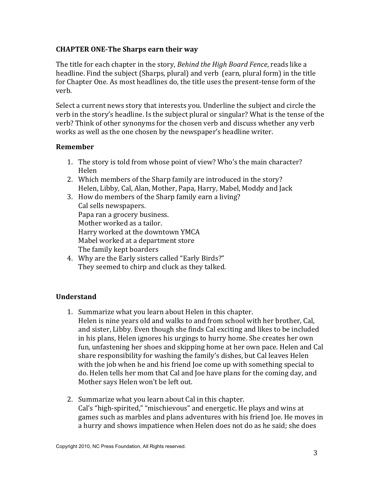## **CHAPTER ONE-The Sharps earn their way**

The title for each chapter in the story, Behind the High Board Fence, reads like a headline. Find the subject (Sharps, plural) and verb (earn, plural form) in the title for Chapter One. As most headlines do, the title uses the present-tense form of the verb.

Select a current news story that interests you. Underline the subject and circle the verb in the story's headline. Is the subject plural or singular? What is the tense of the verb? Think of other synonyms for the chosen verb and discuss whether any verb works as well as the one chosen by the newspaper's headline writer.

## **Remember**

- 1. The story is told from whose point of view? Who's the main character? Helen
- 2. Which members of the Sharp family are introduced in the story? Helen, Libby, Cal, Alan, Mother, Papa, Harry, Mabel, Moddy and Jack
- 3. How do members of the Sharp family earn a living? Cal sells newspapers. Papa ran a grocery business. Mother worked as a tailor. Harry worked at the downtown YMCA Mabel worked at a department store The family kept boarders
- 4. Why are the Early sisters called "Early Birds?" They seemed to chirp and cluck as they talked.

# **Understand**

- 1. Summarize what you learn about Helen in this chapter. Helen is nine years old and walks to and from school with her brother, Cal, and sister, Libby. Even though she finds Cal exciting and likes to be included in his plans, Helen ignores his urgings to hurry home. She creates her own fun, unfastening her shoes and skipping home at her own pace. Helen and Cal share responsibility for washing the family's dishes, but Cal leaves Helen with the job when he and his friend loe come up with something special to do. Helen tells her mom that Cal and Joe have plans for the coming day, and Mother says Helen won't be left out.
- 2. Summarize what you learn about Cal in this chapter. Cal's "high-spirited," "mischievous" and energetic. He plays and wins at games such as marbles and plans adventures with his friend Joe. He moves in a hurry and shows impatience when Helen does not do as he said; she does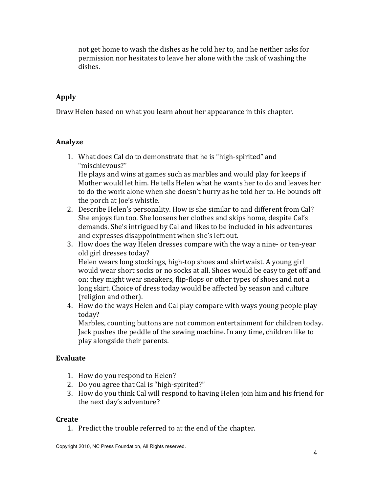not get home to wash the dishes as he told her to, and he neither asks for permission nor hesitates to leave her alone with the task of washing the dishes

# **Apply**

Draw Helen based on what you learn about her appearance in this chapter.

## Analyze

1. What does Cal do to demonstrate that he is "high-spirited" and "mischievous?"

He plays and wins at games such as marbles and would play for keeps if Mother would let him. He tells Helen what he wants her to do and leaves her to do the work alone when she doesn't hurry as he told her to. He bounds off the porch at Joe's whistle.

- 2. Describe Helen's personality. How is she similar to and different from Cal? She enjoys fun too. She loosens her clothes and skips home, despite Cal's demands. She's intrigued by Cal and likes to be included in his adventures and expresses disappointment when she's left out.
- 3. How does the way Helen dresses compare with the way a nine- or ten-year old girl dresses today? Helen wears long stockings, high-top shoes and shirtwaist. A young girl would wear short socks or no socks at all. Shoes would be easy to get off and on; they might wear sneakers, flip-flops or other types of shoes and not a long skirt. Choice of dress today would be affected by season and culture (religion and other).
- 4. How do the ways Helen and Cal play compare with ways young people play today?

Marbles, counting buttons are not common entertainment for children today. Jack pushes the peddle of the sewing machine. In any time, children like to play alongside their parents.

## Evaluate

- 1. How do you respond to Helen?
- 2. Do you agree that Cal is "high-spirited?"
- 3. How do you think Cal will respond to having Helen join him and his friend for the next day's adventure?

## **Create**

1. Predict the trouble referred to at the end of the chapter.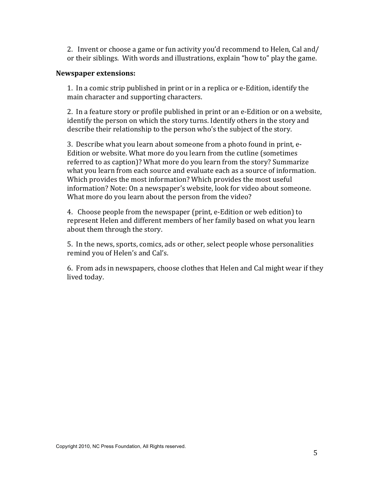2. Invent or choose a game or fun activity you'd recommend to Helen, Cal and/ or their siblings. With words and illustrations, explain "how to" play the game.

#### **Newspaper extensions:**

1. In a comic strip published in print or in a replica or e-Edition, identify the main character and supporting characters.

2. In a feature story or profile published in print or an e-Edition or on a website, identify the person on which the story turns. Identify others in the story and describe their relationship to the person who's the subject of the story.

3. Describe what you learn about someone from a photo found in print, e-Edition or website. What more do you learn from the cutline (sometimes referred to as caption)? What more do you learn from the story? Summarize what you learn from each source and evaluate each as a source of information. Which provides the most information? Which provides the most useful information? Note: On a newspaper's website, look for video about someone. What more do you learn about the person from the video?

4. Choose people from the newspaper (print, e-Edition or web edition) to represent Helen and different members of her family based on what you learn about them through the story.

5. In the news, sports, comics, ads or other, select people whose personalities remind you of Helen's and Cal's.

6. From ads in newspapers, choose clothes that Helen and Cal might wear if they lived today.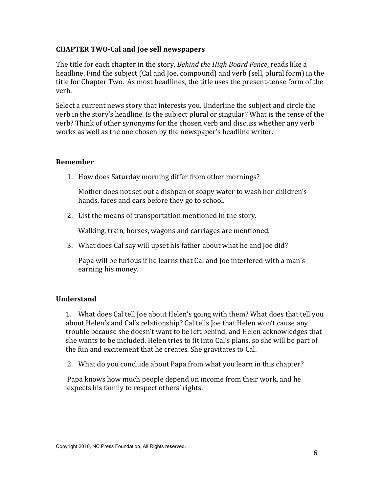## **CHAPTER TWO-Cal and Joe sell newspapers**

The title for each chapter in the story, Behind the High Board Fence, reads like a headline. Find the subject (Cal and Joe, compound) and verb (sell, plural form) in the title for Chapter Two. As most headlines, the title uses the present-tense form of the verh.

Select a current news story that interests you. Underline the subject and circle the verb in the story's headline. Is the subject plural or singular? What is the tense of the verb? Think of other synonyms for the chosen verb and discuss whether any verb works as well as the one chosen by the newspaper's headline writer.

## **Remember**

1. How does Saturday morning differ from other mornings?

Mother does not set out a dishpan of soapy water to wash her children's hands, faces and ears before they go to school.

2. List the means of transportation mentioned in the story.

Walking, train, horses, wagons and carriages are mentioned.

3. What does Cal say will upset his father about what he and Joe did?

Papa will be furious if he learns that Cal and Joe interfered with a man's earning his money.

## **Understand**

1. What does Cal tell Joe about Helen's going with them? What does that tell you about Helen's and Cal's relationship? Cal tells Joe that Helen won't cause any trouble because she doesn't want to be left behind, and Helen acknowledges that she wants to be included. Helen tries to fit into Cal's plans, so she will be part of the fun and excitement that he creates. She gravitates to Cal.

2. What do you conclude about Papa from what you learn in this chapter?

Papa knows how much people depend on income from their work, and he expects his family to respect others' rights.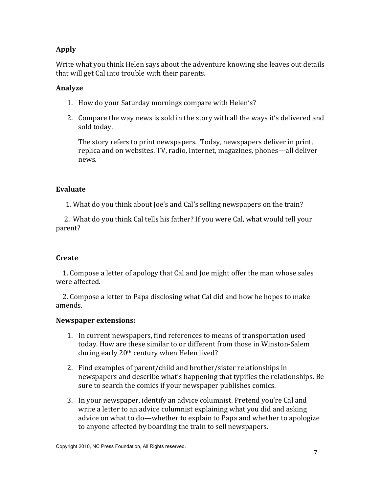# **Apply**

Write what you think Helen says about the adventure knowing she leaves out details that will get Cal into trouble with their parents.

# **Analyze**

- 1. How do your Saturday mornings compare with Helen's?
- 2. Compare the way news is sold in the story with all the ways it's delivered and sold today.

The story refers to print newspapers. Today, newspapers deliver in print, replica and on websites. TV, radio, Internet, magazines, phones—all deliver news.

# Evaluate

1. What do you think about Joe's and Cal's selling newspapers on the train?

2. What do you think Cal tells his father? If you were Cal, what would tell your parent?

## **Create**

1. Compose a letter of apology that Cal and Joe might offer the man whose sales were affected.

2. Compose a letter to Papa disclosing what Cal did and how he hopes to make amends.

- 1. In current newspapers, find references to means of transportation used today. How are these similar to or different from those in Winston-Salem during early 20<sup>th</sup> century when Helen lived?
- 2. Find examples of parent/child and brother/sister relationships in newspapers and describe what's happening that typifies the relationships. Be sure to search the comics if your newspaper publishes comics.
- 3. In your newspaper, identify an advice columnist. Pretend you're Cal and write a letter to an advice columnist explaining what you did and asking advice on what to do—whether to explain to Papa and whether to apologize to anyone affected by boarding the train to sell newspapers.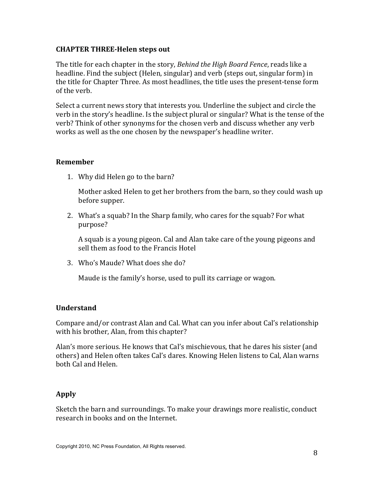#### **CHAPTER THREE-Helen steps out**

The title for each chapter in the story, *Behind the High Board Fence*, reads like a headline. Find the subject (Helen, singular) and verb (steps out, singular form) in the title for Chapter Three. As most headlines, the title uses the present-tense form of the verb.

Select a current news story that interests you. Underline the subject and circle the verb in the story's headline. Is the subject plural or singular? What is the tense of the verb? Think of other synonyms for the chosen verb and discuss whether any verb works as well as the one chosen by the newspaper's headline writer.

#### **Remember**

1. Why did Helen go to the barn?

Mother asked Helen to get her brothers from the barn, so they could wash up before supper.

2. What's a squab? In the Sharp family, who cares for the squab? For what purpose?

A squab is a young pigeon. Cal and Alan take care of the young pigeons and sell them as food to the Francis Hotel

3. Who's Maude? What does she do?

Maude is the family's horse, used to pull its carriage or wagon.

## **Understand**

Compare and/or contrast Alan and Cal. What can you infer about Cal's relationship with his brother, Alan, from this chapter?

Alan's more serious. He knows that Cal's mischievous, that he dares his sister (and others) and Helen often takes Cal's dares. Knowing Helen listens to Cal, Alan warns hoth Cal and Helen.

## **Apply**

Sketch the barn and surroundings. To make your drawings more realistic, conduct research in books and on the Internet.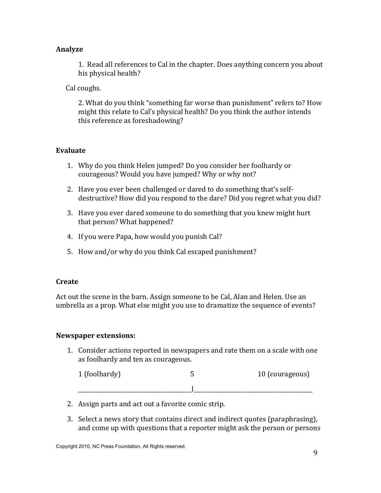## Analyze

1. Read all references to Cal in the chapter. Does anything concern you about his physical health?

Cal coughs.

2. What do you think "something far worse than punishment" refers to? How might this relate to Cal's physical health? Do you think the author intends this reference as foreshadowing?

# **Evaluate**

- 1. Why do you think Helen jumped? Do you consider her foolhardy or courageous? Would you have jumped? Why or why not?
- 2. Have vou ever been challenged or dared to do something that's self-<br>2. Have vou ever been challenged or dared to do something that's self- $\alpha$  destructive? How did you respond to the dare? Did you regret what you did?
- 3. Have vou ever dared someone to do something that vou knew might hurt  $that$  person? What happened?
- 4. If you were Papa, how would you punish Cal?
- 5. How and/or why do you think Cal escaped punishment?

# Create

Act out the scene in the barn. Assign someone to be Cal. Alan and Helen. Use an umbrella as a prop. What else might you use to dramatize the sequence of events?

# **Newspaper extensions:**

1. Consider actions reported in newspapers and rate them on a scale with one as foolhardy and ten as courageous.

| 1 (foolhardy) | 10 (courageous) |
|---------------|-----------------|
|               |                 |

- 2. Assign parts and act out a favorite comic strip.
- 3. Select a news story that contains direct and indirect quotes (paraphrasing). and come up with questions that a reporter might ask the person or persons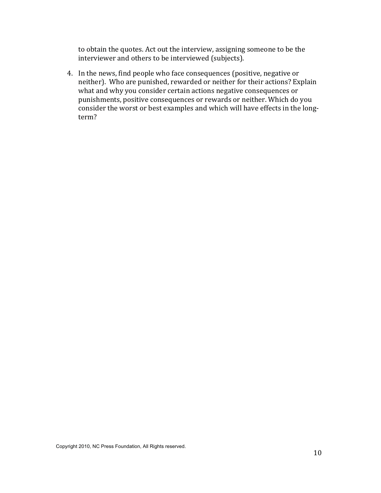to obtain the quotes. Act out the interview, assigning someone to be the interviewer and others to be interviewed (subjects).

4. In the news, find people who face consequences (positive, negative or neither). Who are punished, rewarded or neither for their actions? Explain what and why you consider certain actions negative consequences or punishments, positive consequences or rewards or neither. Which do you consider the worst or best examples and which will have effects in the longterm?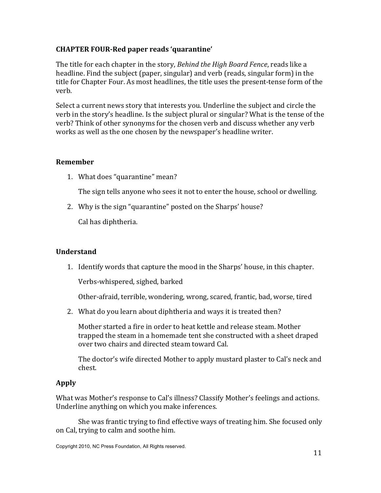## **CHAPTER FOUR-Red paper reads 'quarantine'**

The title for each chapter in the story, Behind the High Board Fence, reads like a headline. Find the subject (paper, singular) and verb (reads, singular form) in the title for Chapter Four. As most headlines, the title uses the present-tense form of the verh.

Select a current news story that interests you. Underline the subject and circle the verb in the story's headline. Is the subject plural or singular? What is the tense of the verb? Think of other synonyms for the chosen verb and discuss whether any verb works as well as the one chosen by the newspaper's headline writer.

## **Remember**

1. What does "quarantine" mean?

The sign tells anyone who sees it not to enter the house, school or dwelling.

2. Why is the sign "quarantine" posted on the Sharps' house?

Cal has diphtheria.

## **Understand**

1. Identify words that capture the mood in the Sharps' house, in this chapter.

Verbs-whispered, sighed, barked

Other-afraid, terrible, wondering, wrong, scared, frantic, bad, worse, tired

2. What do you learn about diphtheria and ways it is treated then?

Mother started a fire in order to heat kettle and release steam. Mother trapped the steam in a homemade tent she constructed with a sheet draped over two chairs and directed steam toward Cal.

The doctor's wife directed Mother to apply mustard plaster to Cal's neck and chest.

# Apply

What was Mother's response to Cal's illness? Classify Mother's feelings and actions. Underline anything on which you make inferences.

She was frantic trying to find effective ways of treating him. She focused only on Cal, trying to calm and soothe him.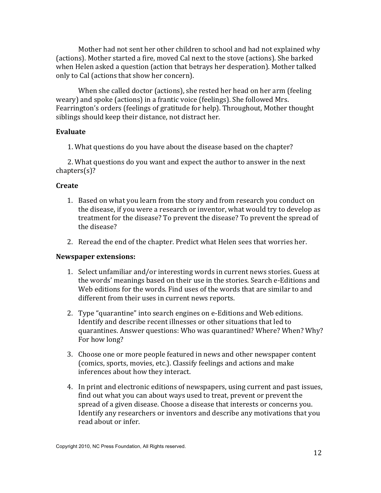Mother had not sent her other children to school and had not explained why (actions). Mother started a fire, moved Cal next to the stove (actions). She barked when Helen asked a question (action that betrays her desperation). Mother talked only to Cal (actions that show her concern).

When she called doctor (actions), she rested her head on her arm (feeling weary) and spoke (actions) in a frantic voice (feelings). She followed Mrs. Fearrington's orders (feelings of gratitude for help). Throughout, Mother thought siblings should keep their distance, not distract her.

#### Evaluate

1. What questions do you have about the disease based on the chapter?

2. What questions do you want and expect the author to answer in the next  $chapters(s)?$ 

#### **Create**

- 1. Based on what you learn from the story and from research you conduct on the disease, if you were a research or inventor, what would try to develop as treatment for the disease? To prevent the disease? To prevent the spread of the disease?
- 2. Reread the end of the chapter. Predict what Helen sees that worries her.

- 1. Select unfamiliar and/or interesting words in current news stories. Guess at the words' meanings based on their use in the stories. Search e-Editions and Web editions for the words. Find uses of the words that are similar to and different from their uses in current news reports.
- 2. Type "quarantine" into search engines on e-Editions and Web editions. Identify and describe recent illnesses or other situations that led to quarantines. Answer questions: Who was quarantined? Where? When? Why? For how long?
- 3. Choose one or more people featured in news and other newspaper content (comics, sports, movies, etc.). Classify feelings and actions and make inferences about how they interact.
- 4. In print and electronic editions of newspapers, using current and past issues, find out what you can about ways used to treat, prevent or prevent the spread of a given disease. Choose a disease that interests or concerns you. Identify any researchers or inventors and describe any motivations that you read about or infer.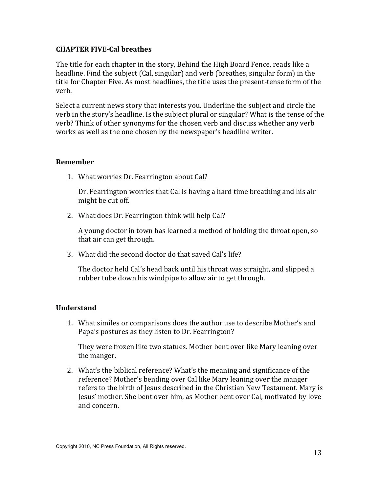## **CHAPTER FIVE-Cal breathes**

The title for each chapter in the story, Behind the High Board Fence, reads like a headline. Find the subject (Cal, singular) and verb (breathes, singular form) in the title for Chapter Five. As most headlines, the title uses the present-tense form of the verb.

Select a current news story that interests you. Underline the subject and circle the verb in the story's headline. Is the subject plural or singular? What is the tense of the verb? Think of other synonyms for the chosen verb and discuss whether any verb works as well as the one chosen by the newspaper's headline writer.

## **Remember**

1. What worries Dr. Fearrington about Cal?

Dr. Fearrington worries that Cal is having a hard time breathing and his air might be cut off.

2. What does Dr. Fearrington think will help Cal?

A young doctor in town has learned a method of holding the throat open, so that air can get through.

3. What did the second doctor do that saved Cal's life?

The doctor held Cal's head back until his throat was straight, and slipped a rubber tube down his windpipe to allow air to get through.

# **Understand**

1. What similes or comparisons does the author use to describe Mother's and Papa's postures as they listen to Dr. Fearrington?

They were frozen like two statues. Mother bent over like Mary leaning over the manger.

2. What's the biblical reference? What's the meaning and significance of the reference? Mother's bending over Cal like Mary leaning over the manger refers to the birth of Jesus described in the Christian New Testament. Mary is Jesus' mother. She bent over him, as Mother bent over Cal, motivated by love and concern.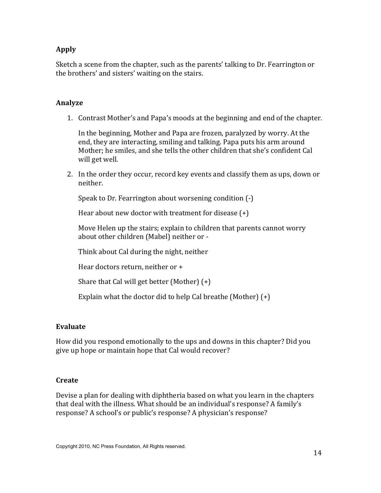## **Apply**

Sketch a scene from the chapter, such as the parents' talking to Dr. Fearrington or the brothers' and sisters' waiting on the stairs.

#### **Analyze**

1. Contrast Mother's and Papa's moods at the beginning and end of the chapter.

In the beginning, Mother and Papa are frozen, paralyzed by worry. At the end, they are interacting, smiling and talking. Papa puts his arm around Mother; he smiles, and she tells the other children that she's confident Cal will get well.

2. In the order they occur, record key events and classify them as ups, down or neither.

Speak to Dr. Fearrington about worsening condition (-)

Hear about new doctor with treatment for disease  $(+)$ 

Move Helen up the stairs; explain to children that parents cannot worry about other children (Mabel) neither or -

Think about Cal during the night, neither

Hear doctors return, neither or +

Share that Cal will get better (Mother)  $(+)$ 

Explain what the doctor did to help Cal breathe (Mother)  $(+)$ 

#### Evaluate

How did you respond emotionally to the ups and downs in this chapter? Did you give up hope or maintain hope that Cal would recover?

#### Create

Devise a plan for dealing with diphtheria based on what you learn in the chapters that deal with the illness. What should be an individual's response? A family's response? A school's or public's response? A physician's response?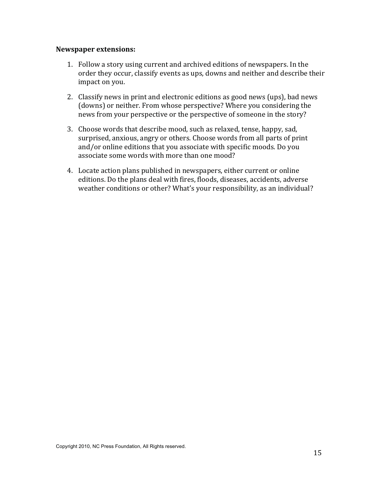- 1. Follow a story using current and archived editions of newspapers. In the order they occur, classify events as ups, downs and neither and describe their impact on you.
- 2. Classify news in print and electronic editions as good news (ups), bad news (downs) or neither. From whose perspective? Where you considering the news from your perspective or the perspective of someone in the story?
- 3. Choose words that describe mood, such as relaxed, tense, happy, sad, surprised, anxious, angry or others. Choose words from all parts of print and/or online editions that you associate with specific moods. Do you associate some words with more than one mood?
- 4. Locate action plans published in newspapers, either current or online editions. Do the plans deal with fires, floods, diseases, accidents, adverse weather conditions or other? What's your responsibility, as an individual?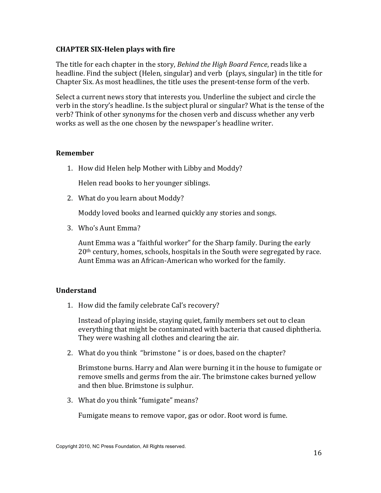## **CHAPTER SIX-Helen plays with fire**

The title for each chapter in the story, Behind the High Board Fence, reads like a headline. Find the subject (Helen, singular) and verb (plays, singular) in the title for Chapter Six. As most headlines, the title uses the present-tense form of the verb.

Select a current news story that interests you. Underline the subject and circle the verb in the story's headline. Is the subject plural or singular? What is the tense of the verb? Think of other synonyms for the chosen verb and discuss whether any verb works as well as the one chosen by the newspaper's headline writer.

#### **Remember**

1. How did Helen help Mother with Libby and Moddy?

Helen read books to her younger siblings.

2. What do you learn about Moddy?

Moddy loved books and learned quickly any stories and songs.

3. Who's Aunt Emma?

Aunt Emma was a "faithful worker" for the Sharp family. During the early  $20<sup>th</sup>$  century, homes, schools, hospitals in the South were segregated by race. Aunt Emma was an African-American who worked for the family.

## **Understand**

1. How did the family celebrate Cal's recovery?

Instead of playing inside, staying quiet, family members set out to clean everything that might be contaminated with bacteria that caused diphtheria. They were washing all clothes and clearing the air.

2. What do you think "brimstone" is or does, based on the chapter?

Brimstone burns. Harry and Alan were burning it in the house to fumigate or remove smells and germs from the air. The brimstone cakes burned yellow and then blue. Brimstone is sulphur.

3. What do you think "fumigate" means?

Fumigate means to remove vapor, gas or odor. Root word is fume.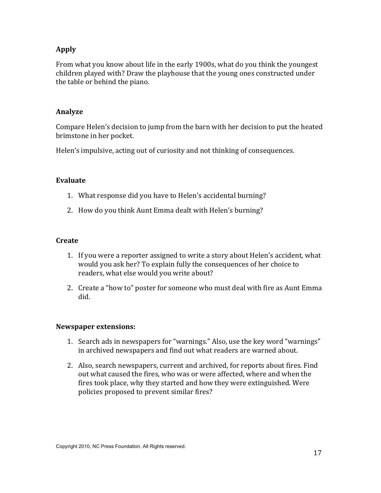# **Apply**

From what you know about life in the early 1900s, what do you think the youngest children played with? Draw the playhouse that the young ones constructed under the table or behind the piano.

## Analyze

Compare Helen's decision to jump from the barn with her decision to put the heated brimstone in her pocket.

Helen's impulsive, acting out of curiosity and not thinking of consequences.

## Evaluate

- 1. What response did you have to Helen's accidental burning?
- 2. How do you think Aunt Emma dealt with Helen's burning?

## Create

- 1. If you were a reporter assigned to write a story about Helen's accident, what would you ask her? To explain fully the consequences of her choice to readers, what else would you write about?
- 2. Create a "how to" poster for someone who must deal with fire as Aunt Emma did.

- 1. Search ads in newspapers for "warnings." Also, use the key word "warnings" in archived newspapers and find out what readers are warned about.
- 2. Also, search newspapers, current and archived, for reports about fires. Find out what caused the fires, who was or were affected, where and when the fires took place, why they started and how they were extinguished. Were policies proposed to prevent similar fires?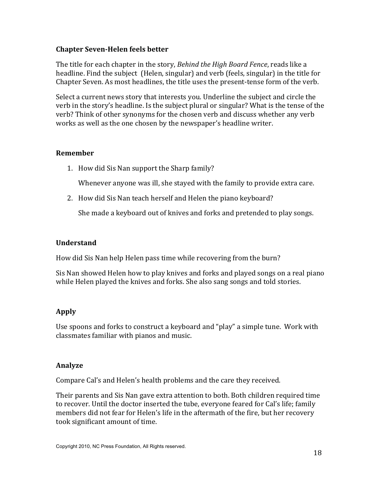## **Chapter Seven-Helen feels better**

The title for each chapter in the story, Behind the High Board Fence, reads like a headline. Find the subject (Helen, singular) and verb (feels, singular) in the title for Chapter Seven. As most headlines, the title uses the present-tense form of the verb.

Select a current news story that interests you. Underline the subject and circle the verb in the story's headline. Is the subject plural or singular? What is the tense of the verb? Think of other synonyms for the chosen verb and discuss whether any verb works as well as the one chosen by the newspaper's headline writer.

#### **Remember**

1. How did Sis Nan support the Sharp family?

Whenever anyone was ill, she stayed with the family to provide extra care.

2. How did Sis Nan teach herself and Helen the piano keyboard?

She made a keyboard out of knives and forks and pretended to play songs.

#### **Understand**

How did Sis Nan help Helen pass time while recovering from the burn?

Sis Nan showed Helen how to play knives and forks and played songs on a real piano while Helen played the knives and forks. She also sang songs and told stories.

## Apply

Use spoons and forks to construct a keyboard and "play" a simple tune. Work with classmates familiar with pianos and music.

#### Analyze

Compare Cal's and Helen's health problems and the care they received.

Their parents and Sis Nan gave extra attention to both. Both children required time to recover. Until the doctor inserted the tube, everyone feared for Cal's life; family members did not fear for Helen's life in the aftermath of the fire, but her recovery took significant amount of time.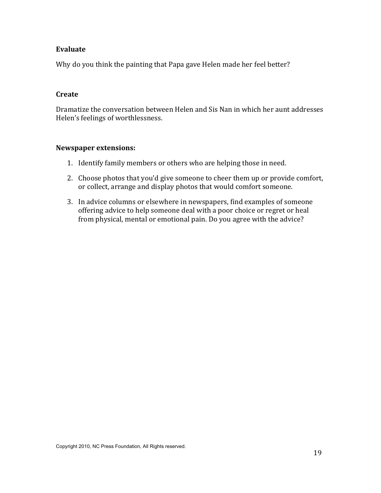## Evaluate

Why do you think the painting that Papa gave Helen made her feel better?

#### Create

Dramatize the conversation between Helen and Sis Nan in which her aunt addresses Helen's feelings of worthlessness.

- 1. Identify family members or others who are helping those in need.
- 2. Choose photos that you'd give someone to cheer them up or provide comfort, or collect, arrange and display photos that would comfort someone.
- 3. In advice columns or elsewhere in newspapers, find examples of someone offering advice to help someone deal with a poor choice or regret or heal from physical, mental or emotional pain. Do you agree with the advice?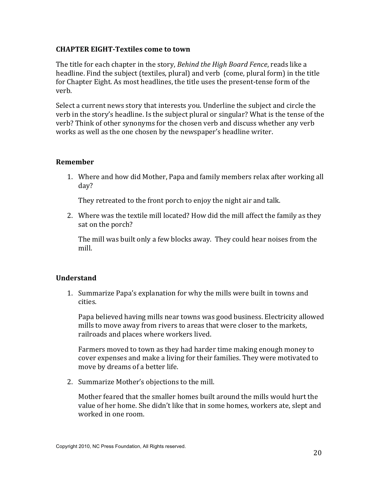#### **CHAPTER EIGHT-Textiles come to town**

The title for each chapter in the story, Behind the High Board Fence, reads like a headline. Find the subject (textiles, plural) and verb (come, plural form) in the title for Chapter Eight. As most headlines, the title uses the present-tense form of the verb.

Select a current news story that interests you. Underline the subject and circle the verb in the story's headline. Is the subject plural or singular? What is the tense of the verb? Think of other synonyms for the chosen verb and discuss whether any verb works as well as the one chosen by the newspaper's headline writer.

#### **Remember**

1. Where and how did Mother, Papa and family members relax after working all day?

They retreated to the front porch to enjoy the night air and talk.

2. Where was the textile mill located? How did the mill affect the family as they sat on the porch?

The mill was built only a few blocks away. They could hear noises from the mill.

## **Understand**

1. Summarize Papa's explanation for why the mills were built in towns and cities.

Papa believed having mills near towns was good business. Electricity allowed mills to move away from rivers to areas that were closer to the markets, railroads and places where workers lived.

Farmers moved to town as they had harder time making enough money to cover expenses and make a living for their families. They were motivated to move by dreams of a better life.

2. Summarize Mother's objections to the mill.

Mother feared that the smaller homes built around the mills would hurt the value of her home. She didn't like that in some homes, workers ate, slept and worked in one room.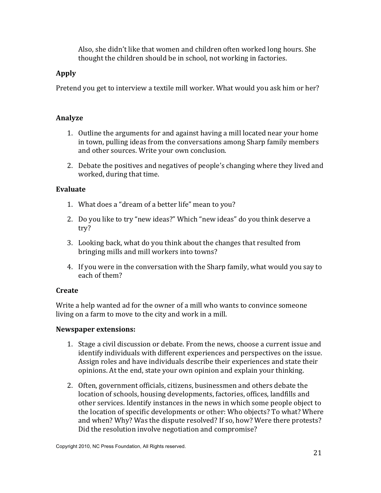Also, she didn't like that women and children often worked long hours. She thought the children should be in school, not working in factories.

# **Apply**

Pretend you get to interview a textile mill worker. What would you ask him or her?

# Analyze

- 1. Outline the arguments for and against having a mill located near your home in town, pulling ideas from the conversations among Sharp family members and other sources. Write your own conclusion.
- 2. Debate the positives and negatives of people's changing where they lived and worked, during that time.

# Evaluate

- 1. What does a "dream of a better life" mean to you?
- 2. Do you like to try "new ideas?" Which "new ideas" do you think deserve a  $try?$
- 3. Looking back, what do you think about the changes that resulted from bringing mills and mill workers into towns?
- 4. If you were in the conversation with the Sharp family, what would you say to each of them?

# **Create**

Write a help wanted ad for the owner of a mill who wants to convince someone living on a farm to move to the city and work in a mill.

- 1. Stage a civil discussion or debate. From the news, choose a current issue and identify individuals with different experiences and perspectives on the issue. Assign roles and have individuals describe their experiences and state their opinions. At the end, state your own opinion and explain your thinking.
- 2. Often, government officials, citizens, businessmen and others debate the location of schools, housing developments, factories, offices, landfills and other services. Identify instances in the news in which some people object to the location of specific developments or other: Who objects? To what? Where and when? Why? Was the dispute resolved? If so, how? Were there protests? Did the resolution involve negotiation and compromise?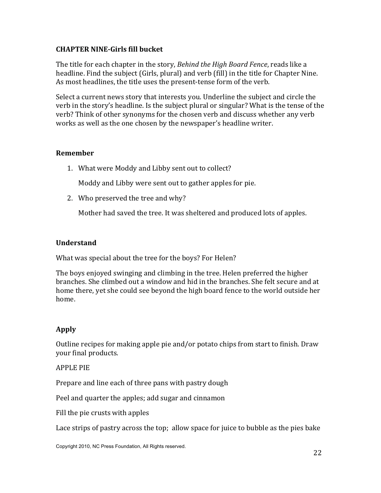# **CHAPTER NINE-Girls fill bucket**

The title for each chapter in the story, Behind the High Board Fence, reads like a headline. Find the subject (Girls, plural) and verb (fill) in the title for Chapter Nine. As most headlines, the title uses the present-tense form of the verb.

Select a current news story that interests you. Underline the subject and circle the verb in the story's headline. Is the subject plural or singular? What is the tense of the verb? Think of other synonyms for the chosen verb and discuss whether any verb works as well as the one chosen by the newspaper's headline writer.

## **Remember**

1. What were Moddy and Libby sent out to collect?

Moddy and Libby were sent out to gather apples for pie.

2. Who preserved the tree and why?

Mother had saved the tree. It was sheltered and produced lots of apples.

#### **Understand**

What was special about the tree for the boys? For Helen?

The boys enjoyed swinging and climbing in the tree. Helen preferred the higher branches. She climbed out a window and hid in the branches. She felt secure and at home there, yet she could see beyond the high board fence to the world outside her home.

# **Apply**

Outline recipes for making apple pie and/or potato chips from start to finish. Draw your final products.

## **APPLE PIE**

Prepare and line each of three pans with pastry dough

Peel and quarter the apples; add sugar and cinnamon

Fill the pie crusts with apples

Lace strips of pastry across the top; allow space for juice to bubble as the pies bake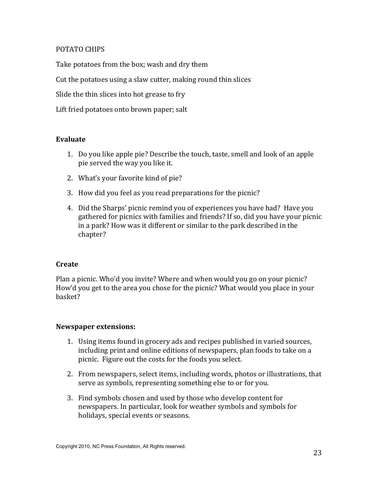## POTATO CHIPS

Take potatoes from the box; wash and dry them

Cut the potatoes using a slaw cutter, making round thin slices

Slide the thin slices into hot grease to fry

Lift fried potatoes onto brown paper; salt

## Evaluate

- 1. Do you like apple pie? Describe the touch, taste, smell and look of an apple pie served the way you like it.
- 2. What's your favorite kind of pie?
- 3. How did you feel as you read preparations for the picnic?
- 4. Did the Sharps' picnic remind you of experiences you have had? Have you gathered for picnics with families and friends? If so, did you have your picnic in a park? How was it different or similar to the park described in the chapter?

## **Create**

Plan a picnic. Who'd you invite? Where and when would you go on your picnic? How'd you get to the area you chose for the picnic? What would you place in your basket?

- 1. Using items found in grocery ads and recipes published in varied sources, including print and online editions of newspapers, plan foods to take on a picnic. Figure out the costs for the foods you select.
- 2. From newspapers, select items, including words, photos or illustrations, that serve as symbols, representing something else to or for you.
- 3. Find symbols chosen and used by those who develop content for newspapers. In particular, look for weather symbols and symbols for holidays, special events or seasons.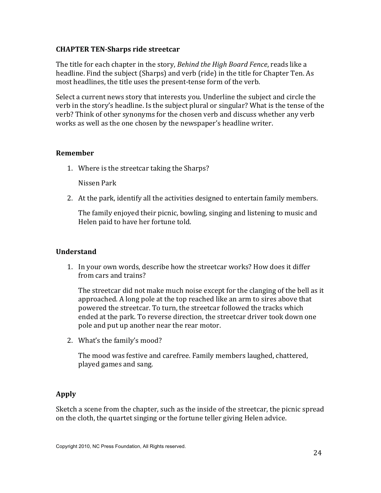## **CHAPTER TEN-Sharps ride streetcar**

The title for each chapter in the story, Behind the High Board Fence, reads like a headline. Find the subject (Sharps) and verb (ride) in the title for Chapter Ten. As most headlines, the title uses the present-tense form of the verb.

Select a current news story that interests you. Underline the subject and circle the verb in the story's headline. Is the subject plural or singular? What is the tense of the verb? Think of other synonyms for the chosen verb and discuss whether any verb works as well as the one chosen by the newspaper's headline writer.

#### **Remember**

1. Where is the streetcar taking the Sharps?

Nissen Park

2. At the park, identify all the activities designed to entertain family members.

The family enjoyed their picnic, bowling, singing and listening to music and Helen paid to have her fortune told.

## **Understand**

1. In your own words, describe how the streetcar works? How does it differ from cars and trains?

The streetcar did not make much noise except for the clanging of the bell as it approached. A long pole at the top reached like an arm to sires above that powered the streetcar. To turn, the streetcar followed the tracks which ended at the park. To reverse direction, the streetcar driver took down one pole and put up another near the rear motor.

2. What's the family's mood?

The mood was festive and carefree. Family members laughed, chattered, played games and sang.

## **Apply**

Sketch a scene from the chapter, such as the inside of the streetcar, the picnic spread on the cloth, the quartet singing or the fortune teller giving Helen advice.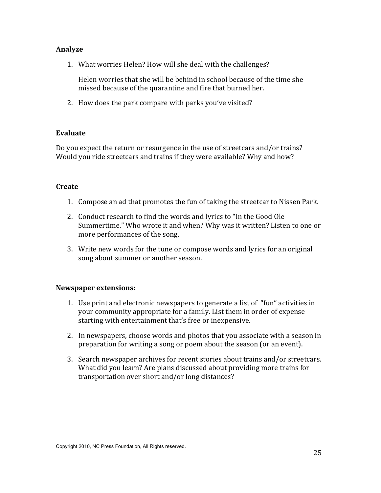#### **Analyze**

1. What worries Helen? How will she deal with the challenges?

Helen worries that she will be behind in school because of the time she missed because of the quarantine and fire that burned her.

2. How does the park compare with parks you've visited?

#### Evaluate

Do you expect the return or resurgence in the use of streetcars and/or trains? Would you ride streetcars and trains if they were available? Why and how?

#### Create

- 1. Compose an ad that promotes the fun of taking the streetcar to Nissen Park.
- 2. Conduct research to find the words and lyrics to "In the Good Ole" Summertime." Who wrote it and when? Why was it written? Listen to one or more performances of the song.
- 3. Write new words for the tune or compose words and lyrics for an original song about summer or another season.

- 1. Use print and electronic newspapers to generate a list of "fun" activities in your community appropriate for a family. List them in order of expense starting with entertainment that's free or inexpensive.
- 2. In newspapers, choose words and photos that you associate with a season in preparation for writing a song or poem about the season (or an event).
- 3. Search newspaper archives for recent stories about trains and/or streetcars. What did you learn? Are plans discussed about providing more trains for transportation over short and/or long distances?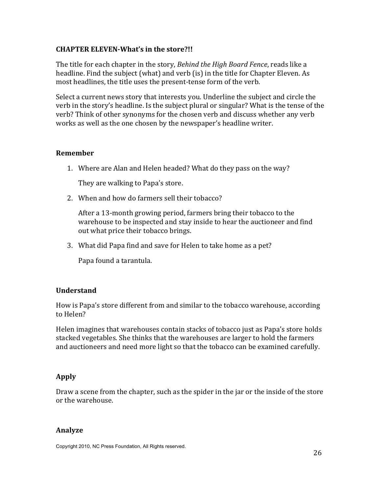## **CHAPTER ELEVEN-What's in the store?!!**

The title for each chapter in the story, *Behind the High Board Fence*, reads like a headline. Find the subject (what) and verb (is) in the title for Chapter Eleven. As most headlines, the title uses the present-tense form of the verb.

Select a current news story that interests you. Underline the subject and circle the verb in the story's headline. Is the subject plural or singular? What is the tense of the verb? Think of other synonyms for the chosen verb and discuss whether any verb works as well as the one chosen by the newspaper's headline writer.

#### **Remember**

1. Where are Alan and Helen headed? What do they pass on the way?

They are walking to Papa's store.

2. When and how do farmers sell their tobacco?

After a 13-month growing period, farmers bring their tobacco to the warehouse to be inspected and stay inside to hear the auctioneer and find out what price their tobacco brings.

3. What did Papa find and save for Helen to take home as a pet?

Papa found a tarantula.

## **Understand**

How is Papa's store different from and similar to the tobacco warehouse, according to Helen?

Helen imagines that warehouses contain stacks of tobacco just as Papa's store holds stacked vegetables. She thinks that the warehouses are larger to hold the farmers and auctioneers and need more light so that the tobacco can be examined carefully.

## **Apply**

Draw a scene from the chapter, such as the spider in the jar or the inside of the store or the warehouse.

#### Analyze

Copyright 2010, NC Press Foundation, All Rights reserved.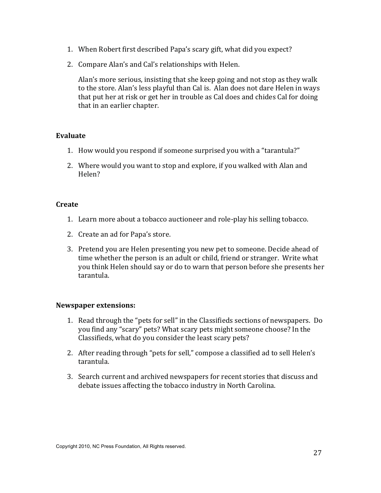- 1. When Robert first described Papa's scary gift, what did you expect?
- 2. Compare Alan's and Cal's relationships with Helen.

Alan's more serious, insisting that she keep going and not stop as they walk to the store. Alan's less playful than Cal is. Alan does not dare Helen in ways that put her at risk or get her in trouble as Cal does and chides Cal for doing that in an earlier chapter.

## **Evaluate**

- 1. How would you respond if someone surprised you with a "tarantula?"
- 2. Where would you want to stop and explore, if you walked with Alan and Helen?

#### **Create**

- 1. Learn more about a tobacco auctioneer and role-play his selling tobacco.
- 2. Create an ad for Papa's store.
- 3. Pretend you are Helen presenting you new pet to someone. Decide ahead of time whether the person is an adult or child, friend or stranger. Write what you think Helen should say or do to warn that person before she presents her tarantula.

- 1. Read through the "pets for sell" in the Classifieds sections of newspapers. Do you find any "scary" pets? What scary pets might someone choose? In the Classifieds, what do you consider the least scary pets?
- 2. After reading through "pets for sell," compose a classified ad to sell Helen's tarantula.
- 3. Search current and archived newspapers for recent stories that discuss and debate issues affecting the tobacco industry in North Carolina.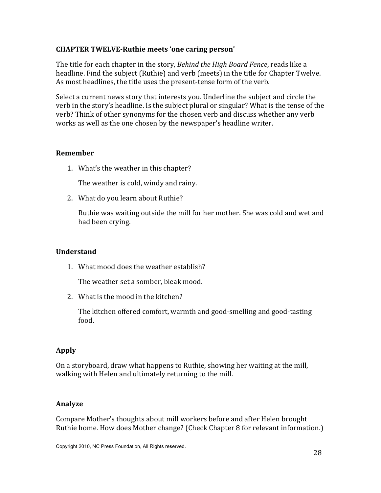## **CHAPTER TWELVE-Ruthie meets 'one caring person'**

The title for each chapter in the story, Behind the High Board Fence, reads like a headline. Find the subject (Ruthie) and verb (meets) in the title for Chapter Twelve. As most headlines, the title uses the present-tense form of the verb.

Select a current news story that interests you. Underline the subject and circle the verb in the story's headline. Is the subject plural or singular? What is the tense of the verb? Think of other synonyms for the chosen verb and discuss whether any verb works as well as the one chosen by the newspaper's headline writer.

## **Remember**

1. What's the weather in this chapter?

The weather is cold, windy and rainy.

2. What do you learn about Ruthie?

Ruthie was waiting outside the mill for her mother. She was cold and wet and had been crying.

## **Understand**

1. What mood does the weather establish?

The weather set a somber, bleak mood.

2. What is the mood in the kitchen?

The kitchen offered comfort, warmth and good-smelling and good-tasting food.

# **Apply**

On a storyboard, draw what happens to Ruthie, showing her waiting at the mill, walking with Helen and ultimately returning to the mill.

## Analyze

Compare Mother's thoughts about mill workers before and after Helen brought Ruthie home. How does Mother change? (Check Chapter 8 for relevant information.)

Copyright 2010, NC Press Foundation, All Rights reserved.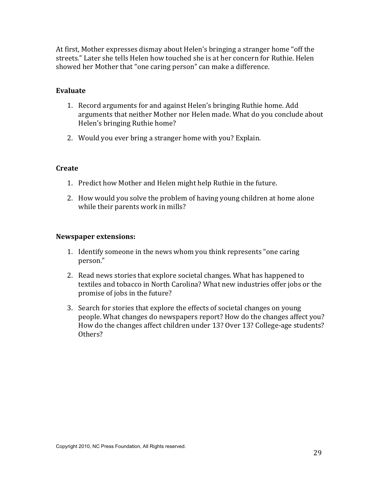At first, Mother expresses dismay about Helen's bringing a stranger home "off the streets." Later she tells Helen how touched she is at her concern for Ruthie. Helen showed her Mother that "one caring person" can make a difference.

#### Evaluate

- 1. Record arguments for and against Helen's bringing Ruthie home. Add arguments that neither Mother nor Helen made. What do you conclude about Helen's bringing Ruthie home?
- 2. Would you ever bring a stranger home with you? Explain.

#### **Create**

- 1. Predict how Mother and Helen might help Ruthie in the future.
- 2. How would you solve the problem of having young children at home alone while their parents work in mills?

- 1. Identify someone in the news whom you think represents "one caring person."
- 2. Read news stories that explore societal changes. What has happened to textiles and tobacco in North Carolina? What new industries offer jobs or the promise of jobs in the future?
- 3. Search for stories that explore the effects of societal changes on young people. What changes do newspapers report? How do the changes affect you? How do the changes affect children under 13? Over 13? College-age students? Others?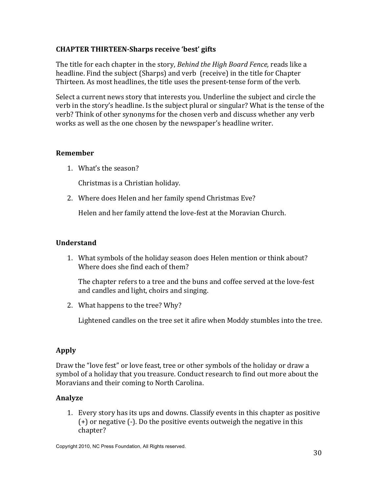# **CHAPTER THIRTEEN-Sharps receive 'best' gifts**

The title for each chapter in the story, Behind the High Board Fence, reads like a headline. Find the subject (Sharps) and verb (receive) in the title for Chapter Thirteen. As most headlines, the title uses the present-tense form of the verb.

Select a current news story that interests you. Underline the subject and circle the verb in the story's headline. Is the subject plural or singular? What is the tense of the verb? Think of other synonyms for the chosen verb and discuss whether any verb works as well as the one chosen by the newspaper's headline writer.

## **Remember**

1. What's the season?

Christmas is a Christian holiday.

2. Where does Helen and her family spend Christmas Eve?

Helen and her family attend the love-fest at the Moravian Church.

#### **Understand**

1. What symbols of the holiday season does Helen mention or think about? Where does she find each of them?

The chapter refers to a tree and the buns and coffee served at the love-fest and candles and light, choirs and singing.

2. What happens to the tree? Why?

Lightened candles on the tree set it afire when Moddy stumbles into the tree.

## **Apply**

Draw the "love fest" or love feast, tree or other symbols of the holiday or draw a symbol of a holiday that you treasure. Conduct research to find out more about the Moravians and their coming to North Carolina.

## Analyze

1. Every story has its ups and downs. Classify events in this chapter as positive  $(+)$  or negative  $(-)$ . Do the positive events outweigh the negative in this chapter?

Copyright 2010, NC Press Foundation, All Rights reserved.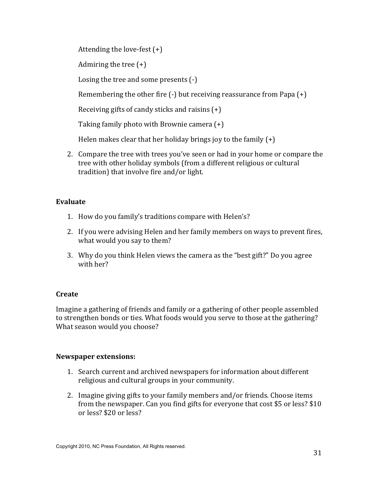Attending the love-fest  $(+)$ 

Admiring the tree  $(+)$ 

Losing the tree and some presents  $(-)$ 

Remembering the other fire  $(-)$  but receiving reassurance from Papa  $(+)$ 

Receiving gifts of candy sticks and raisins  $(+)$ 

Taking family photo with Brownie camera (+)

Helen makes clear that her holiday brings joy to the family  $(+)$ 

2. Compare the tree with trees you've seen or had in your home or compare the tree with other holiday symbols (from a different religious or cultural tradition) that involve fire and/or light.

# Evaluate

- 1. How do you family's traditions compare with Helen's?
- 2. If you were advising Helen and her family members on ways to prevent fires, what would you say to them?
- 3. Why do you think Helen views the camera as the "best gift?" Do you agree with her?

# **Create**

Imagine a gathering of friends and family or a gathering of other people assembled to strengthen bonds or ties. What foods would you serve to those at the gathering? What season would you choose?

- 1. Search current and archived newspapers for information about different religious and cultural groups in your community.
- 2. Imagine giving gifts to your family members and/or friends. Choose items from the newspaper. Can you find gifts for everyone that cost \$5 or less? \$10 or less? \$20 or less?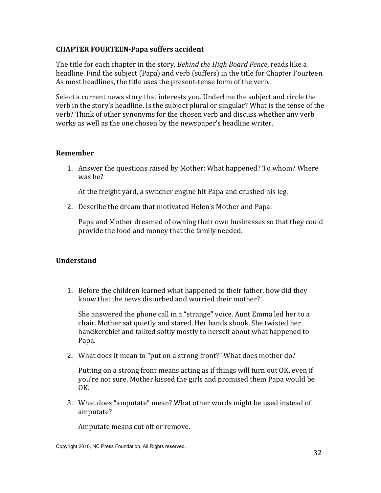## **CHAPTER FOURTEEN-Papa suffers accident**

The title for each chapter in the story, Behind the High Board Fence, reads like a headline. Find the subject (Papa) and verb (suffers) in the title for Chapter Fourteen. As most headlines, the title uses the present-tense form of the verb.

Select a current news story that interests you. Underline the subject and circle the verb in the story's headline. Is the subject plural or singular? What is the tense of the verb? Think of other synonyms for the chosen verb and discuss whether any verb works as well as the one chosen by the newspaper's headline writer.

#### **Remember**

1. Answer the questions raised by Mother: What happened? To whom? Where was he?

At the freight yard, a switcher engine hit Papa and crushed his leg.

2. Describe the dream that motivated Helen's Mother and Papa.

Papa and Mother dreamed of owning their own businesses so that they could provide the food and money that the family needed.

## **Understand**

1. Before the children learned what happened to their father, how did they know that the news disturbed and worried their mother?

She answered the phone call in a "strange" voice. Aunt Emma led her to a chair. Mother sat quietly and stared. Her hands shook. She twisted her handkerchief and talked softly mostly to herself about what happened to Papa.

2. What does it mean to "put on a strong front?" What does mother do?

Putting on a strong front means acting as if things will turn out OK, even if you're not sure. Mother kissed the girls and promised them Papa would be OK.

3. What does "amputate" mean? What other words might be used instead of amputate?

Amputate means cut off or remove.

Copyright 2010, NC Press Foundation, All Rights reserved.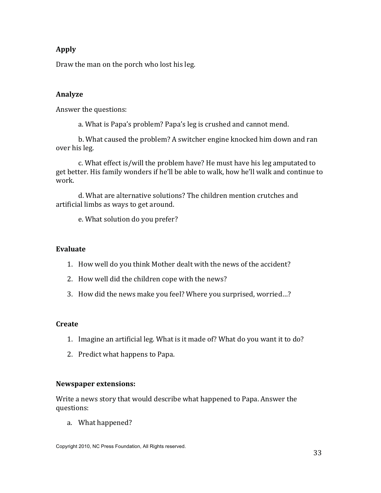# **Apply**

Draw the man on the porch who lost his leg.

## Analyze

Answer the questions:

a. What is Papa's problem? Papa's leg is crushed and cannot mend.

b. What caused the problem? A switcher engine knocked him down and ran over his leg.

c. What effect is/will the problem have? He must have his leg amputated to get better. His family wonders if he'll be able to walk, how he'll walk and continue to work.

d. What are alternative solutions? The children mention crutches and artificial limbs as ways to get around.

e. What solution do you prefer?

#### Evaluate

- 1. How well do you think Mother dealt with the news of the accident?
- 2. How well did the children cope with the news?
- 3. How did the news make you feel? Where you surprised, worried...?

#### **Create**

- 1. Imagine an artificial leg. What is it made of? What do you want it to do?
- 2. Predict what happens to Papa.

#### **Newspaper extensions:**

Write a news story that would describe what happened to Papa. Answer the questions:

a. What happened?

Copyright 2010, NC Press Foundation, All Rights reserved.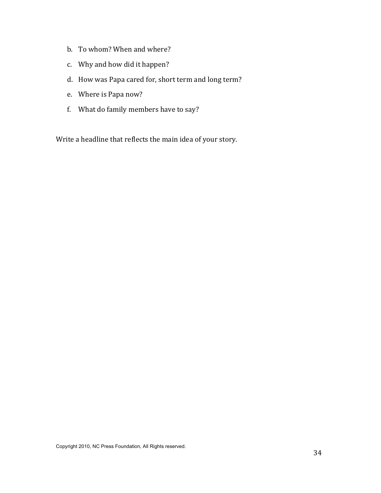- b. To whom? When and where?
- c. Why and how did it happen?
- d. How was Papa cared for, short term and long term?
- e. Where is Papa now?
- f. What do family members have to say?

Write a headline that reflects the main idea of your story.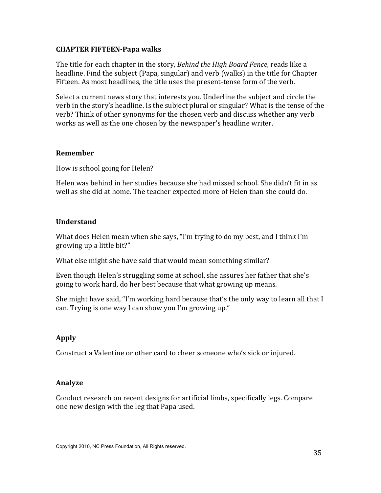#### **CHAPTER FIFTEEN-Papa walks**

The title for each chapter in the story, Behind the High Board Fence, reads like a headline. Find the subject (Papa, singular) and verb (walks) in the title for Chapter Fifteen. As most headlines, the title uses the present-tense form of the verb.

Select a current news story that interests you. Underline the subject and circle the verb in the story's headline. Is the subject plural or singular? What is the tense of the verb? Think of other synonyms for the chosen verb and discuss whether any verb works as well as the one chosen by the newspaper's headline writer.

#### **Remember**

How is school going for Helen?

Helen was behind in her studies because she had missed school. She didn't fit in as well as she did at home. The teacher expected more of Helen than she could do.

#### **Understand**

What does Helen mean when she says, "I'm trying to do my best, and I think I'm growing up a little bit?"

What else might she have said that would mean something similar?

Even though Helen's struggling some at school, she assures her father that she's going to work hard, do her best because that what growing up means.

She might have said, "I'm working hard because that's the only way to learn all that I can. Trying is one way I can show you I'm growing up."

## Apply

Construct a Valentine or other card to cheer someone who's sick or injured.

#### **Analyze**

Conduct research on recent designs for artificial limbs, specifically legs. Compare one new design with the leg that Papa used.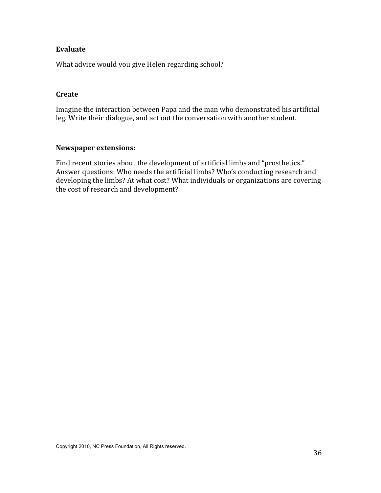#### Evaluate

What advice would you give Helen regarding school?

#### Create

Imagine the interaction between Papa and the man who demonstrated his artificial leg. Write their dialogue, and act out the conversation with another student.

#### **Newspaper extensions:**

Find recent stories about the development of artificial limbs and "prosthetics." Answer questions: Who needs the artificial limbs? Who's conducting research and developing the limbs? At what cost? What individuals or organizations are covering the cost of research and development?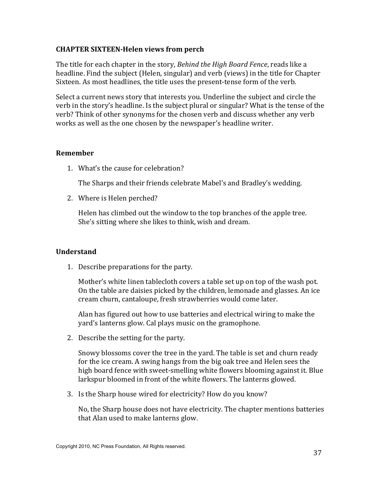#### **CHAPTER SIXTEEN-Helen views from perch**

The title for each chapter in the story, Behind the High Board Fence, reads like a headline. Find the subject (Helen, singular) and verb (views) in the title for Chapter Sixteen. As most headlines, the title uses the present-tense form of the verb.

Select a current news story that interests you. Underline the subject and circle the verb in the story's headline. Is the subject plural or singular? What is the tense of the verb? Think of other synonyms for the chosen verb and discuss whether any verb works as well as the one chosen by the newspaper's headline writer.

#### **Remember**

1. What's the cause for celebration?

The Sharps and their friends celebrate Mabel's and Bradley's wedding.

2. Where is Helen perched?

Helen has climbed out the window to the top branches of the apple tree. She's sitting where she likes to think, wish and dream.

## **Understand**

1. Describe preparations for the party.

Mother's white linen tablecloth covers a table set up on top of the wash pot. On the table are daisies picked by the children, lemonade and glasses. An ice cream churn, cantaloupe, fresh strawberries would come later.

Alan has figured out how to use batteries and electrical wiring to make the yard's lanterns glow. Cal plays music on the gramophone.

2. Describe the setting for the party.

Snowy blossoms cover the tree in the yard. The table is set and churn ready for the ice cream. A swing hangs from the big oak tree and Helen sees the high board fence with sweet-smelling white flowers blooming against it. Blue larkspur bloomed in front of the white flowers. The lanterns glowed.

3. Is the Sharp house wired for electricity? How do you know?

No, the Sharp house does not have electricity. The chapter mentions batteries that Alan used to make lanterns glow.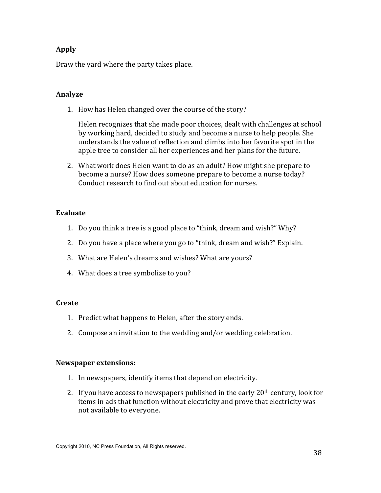# **Apply**

Draw the yard where the party takes place.

## **Analyze**

1. How has Helen changed over the course of the story?

Helen recognizes that she made poor choices, dealt with challenges at school by working hard, decided to study and become a nurse to help people. She understands the value of reflection and climbs into her favorite spot in the apple tree to consider all her experiences and her plans for the future.

2. What work does Helen want to do as an adult? How might she prepare to become a nurse? How does someone prepare to become a nurse today? Conduct research to find out about education for nurses

## Evaluate

- 1. Do you think a tree is a good place to "think, dream and wish?" Why?
- 2. Do you have a place where you go to "think, dream and wish?" Explain.
- 3. What are Helen's dreams and wishes? What are yours?
- 4. What does a tree symbolize to you?

## Create

- 1. Predict what happens to Helen, after the story ends.
- 2. Compose an invitation to the wedding and/or wedding celebration.

- 1. In newspapers, identify items that depend on electricity.
- 2. If you have access to newspapers published in the early  $20<sup>th</sup>$  century, look for items in ads that function without electricity and prove that electricity was not available to everyone.